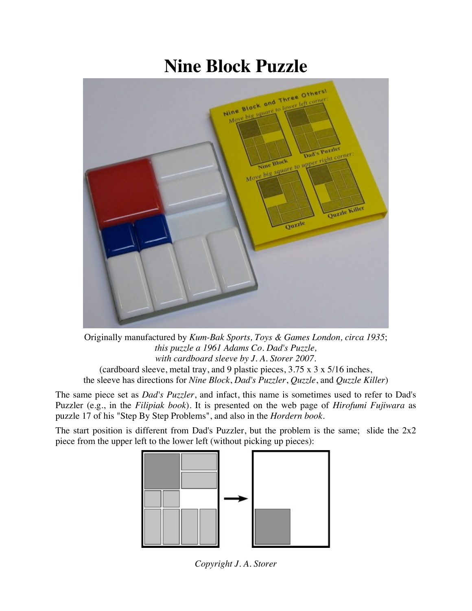## **Nine Block Puzzle**



Originally manufactured by *Kum-Bak Sports, Toys & Games London, circa 1935*; *this puzzle a 1961 Adams Co. Dad's Puzzle, with cardboard sleeve by J. A. Storer 2007.* (cardboard sleeve, metal tray, and 9 plastic pieces, 3.75 x 3 x 5/16 inches, the sleeve has directions for *Nine Block*, *Dad's Puzzler*, *Quzzle*, and *Quzzle Killer*)

The same piece set as *Dad's Puzzler*, and infact, this name is sometimes used to refer to Dad's Puzzler (e.g., in the *Filipiak book*). It is presented on the web page of *Hirofumi Fujiwara* as puzzle 17 of his "Step By Step Problems", and also in the *Hordern book*.

The start position is different from Dad's Puzzler, but the problem is the same; slide the  $2x2$ piece from the upper left to the lower left (without picking up pieces):



*Copyright J. A. Storer*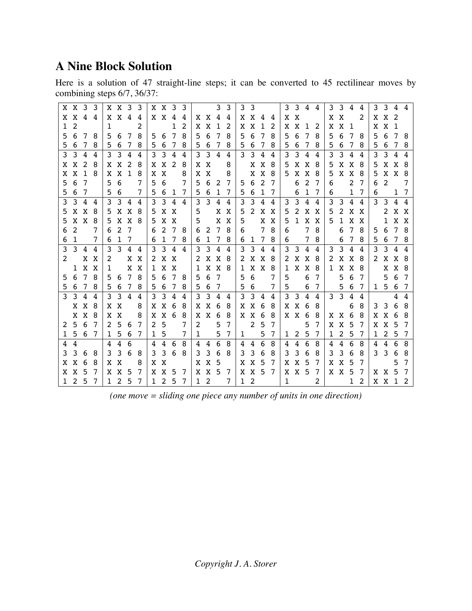## **A Nine Block Solution**

Here is a solution of 47 straight-line steps; it can be converted to 45 rectilinear moves by combining steps 6/7, 36/37:

|              | X X 3 3             |       |                |              | X X 3 3             |                |     |              |                | X X 3 3        |                |              |                |              | 3 <sub>3</sub> |   | 3 <sub>3</sub> |                 |     |              |             | 3 3 4 4 |                |              |       | 3 3 4 4         |           |         | 3 3 4 4      |            |    |
|--------------|---------------------|-------|----------------|--------------|---------------------|----------------|-----|--------------|----------------|----------------|----------------|--------------|----------------|--------------|----------------|---|----------------|-----------------|-----|--------------|-------------|---------|----------------|--------------|-------|-----------------|-----------|---------|--------------|------------|----|
|              | X X 4 4             |       |                |              | $X \times 4$        |                | -4  |              | $X \times 4$   |                | 4              |              |                | X X 4 4      |                |   |                | X X 4 4         |     |              | X X         |         |                | X            | X     |                 | 2         |         | $X \times 2$ |            |    |
| $\mathbf{1}$ | 2                   |       |                | $\mathbf{1}$ |                     |                | 2   |              |                | 1              | 2              |              | X X            | $\mathbf{1}$ | 2              | X | X              | 1               | 2   | X            | X           | $1 \t2$ |                | X            |       | X <sub>1</sub>  |           |         | X X 1        |            |    |
| 5            | -6                  | 78    |                | 5.           | 6                   | $\overline{7}$ | 8   | 5            | - 6            | 7              | 8              | 5            | 6              | 78           |                | 5 | 6              | -7              | 8   | 5            | 6           | 7       | - 8            | 5            | 6     | 78              |           | .5      |              | 6 7 8      |    |
|              | 56                  | 7     | 8              |              | 5 6 7               |                | 8   |              | 5 6            | 7              | 8              |              | 56             | 78           |                | 5 | 6              | 7               | 8   |              | 5 6         | 78      |                | 5            | - 6   | 78              |           | 5       |              | 6 7 8      |    |
|              | $3 \quad 3 \quad 4$ |       | 4              |              | $3 \quad 3 \quad 4$ |                | 4   |              | 3 <sup>3</sup> | $\overline{4}$ | 4              |              |                | 3 3 4 4      |                |   |                | 3 3 4 4         |     | 3            | 3 4         |         | $\overline{4}$ | 3            |       | 3 4 4           |           | 3       | 3 4 4        |            |    |
| X.           | X 2                 |       | 8              |              | XX                  | 2              | 8   |              | X X            | 2              | 8              |              | X X            |              | 8              |   |                | X X             | 8   | 5            |             | X X 8   |                | 5            | X     | X 8             |           | -5      |              | X X 8      |    |
| X            | X 1 8               |       |                |              | $X \times 1$        |                | 8   |              | X X            |                | 8              |              | X X            |              | 8              |   |                | X X             | 8   |              |             | 5 X X 8 |                | 5            |       | X X 8           |           | 5       | X X 8        |            |    |
|              | 5 6                 | -7    |                | 5.           | 6                   |                | 7   | 5            | 6              |                | 7              |              |                | 5 6 2 7      |                |   | 5 6            | 2               | 7   |              | 6           | 2       | $\overline{7}$ | 6            |       |                 | 2 7       |         | 6 2          |            | 7  |
|              | 5 6 7               |       |                |              | 5 6                 |                | 7   |              |                | 5 6 1 7        |                |              |                | 5 6 1 7      |                |   |                | 5 6 1 7         |     |              | 6           | 1       | $\overline{7}$ | 6            |       |                 | 1 7       | 6       |              | 1 7        |    |
| 3            | 3 4                 |       | 4              | 3            |                     | $3\quad 4$     | 4   |              | 3 3 4          |                | 4              |              |                | 3 3 4 4      |                | 3 |                | 3 4             | 4   |              | $3 \t3 \t4$ |         | $\overline{4}$ | 3            |       | 3 4 4           |           |         | 3 3 4 4      |            |    |
| 5            |                     | X X 8 |                |              | 5 X X               |                | 8   | 5            | X X            |                |                | 5            |                |              | X X            | 5 |                | 2 X X           |     | 5            | 2           | X X     |                | 5            | 2     | X X             |           |         |              | 2 X X      |    |
| 5            | X X 8               |       |                |              | 5 X X 8             |                |     |              | 5 X X          |                |                | 5            |                |              | X X            | 5 |                |                 | X X |              |             | 5 1 X X |                |              |       | 5 1 X X         |           |         |              | 1 X X      |    |
| 6            | 2                   |       | 7              |              | 6 2                 | 7              |     | 6            | -2             | 78             |                | 6            |                | 2 7 8        |                | 6 |                | $7\overline{ }$ | 8   | 6            |             |         | 7 8            |              | 6     | 78              |           |         | 5 6 7 8      |            |    |
| 6            | 1                   |       | 7              | 6            | $\mathbf{1}$        | 7              |     | 6            |                | 1 7            | 8              |              |                | 6 1 7 8      |                |   | 6 1            | $7\overline{ }$ | 8   | 6            |             |         | 7 8            |              | 6     | $7\overline{ }$ | 8         | -5      |              | 6 7 8      |    |
| 3            | 3 4 4               |       |                | 3            |                     | $3\quad 4$     | -4  | 3            | 3 4            |                | $\overline{4}$ | 3            |                | 3 4 4        |                | 3 | $\mathbf{3}$   | 4               | 4   |              |             | 3 3 4 4 |                |              |       | 3 3 4 4         |           | 3       |              | 3 4 4      |    |
|              | $2^{\circ}$         | X X   |                | 2            |                     |                | X X |              | 2 X X          |                |                | 2            |                | X X 8        |                |   |                | 2 X X 8         |     |              |             | 2 X X 8 |                | 2            |       | X X 8           |           |         | 2 X X 8      |            |    |
|              |                     | 1 X X |                | $\mathbf{1}$ |                     | X              | X   |              | 1 X X          |                |                |              |                | 1 X X 8      |                |   |                | 1 X X 8         |     | $\mathbf{1}$ |             | X X 8   |                | $\mathbf{1}$ |       | X X 8           |           |         |              | X X 8      |    |
| .5           | 6 7                 |       | -8             | $5 -$        | 6                   | 7              | 8   | 5            | - 6            | 7              | 8              | 5.           | - 6            | - 7          |                | 5 | 6              |                 | 7   | 5            |             | 6       | $\overline{7}$ |              | 5     | - 6             | - 7       |         |              | 5 6 7      |    |
| 5            | 678                 |       |                |              | 5 6 7               |                | 8   |              | 5 6            | 7              | 8              |              |                | 5 6 7        |                |   | 5 6            |                 | 7   | 5            |             | 6       | 7              |              |       | 5 6 7           |           | 1 5 6 7 |              |            |    |
|              | 3 3 4 4             |       |                | 3            |                     | $3\quad 4$     | 4   |              | $3 \t3 \t4$    |                | 4              |              |                | 3 3 4 4      |                | 3 |                | $3\quad 4$      | 4   |              | $3 \t3 \t4$ |         | 4              |              |       | 3 3 4 4         |           |         |              | $4\quad 4$ |    |
|              |                     | X X 8 |                |              | X X                 |                | 8   |              | X X 6          |                | 8              |              |                | X X 6 8      |                |   | X X 6          |                 | 8   |              | X X 6       |         | - 8            |              |       | 6               | -8        |         | 3 3 6        |            | 8  |
|              |                     | X X 8 |                |              | X X                 |                | 8   |              | X X 6          |                | - 8            |              |                | X X 6 8      |                |   | X X 6          |                 | 8   |              |             | X X 6 8 |                | X            | X 6   |                 | - 8       |         | X X 6 8      |            |    |
|              | 2 5 6               |       | 7              | 2            | 5                   | -6             | 7   | 2            | 5              |                | 7              | 2            |                | 5            | 7              |   |                | 2 <sub>5</sub>  | 7   |              |             | 5       | 7              |              | X X 5 |                 | - 7       |         | X X 5        |            | 7  |
|              | 1 5 6 7             |       |                |              | 1 5 6               |                | -7  | $\mathbf{1}$ | 5              |                | 7              | $\mathbf{1}$ |                | 5            | - 7            |   | $1 \quad$      | 5               | 7   |              |             | 1 2 5 7 |                | 1            |       | 2 5 7           |           |         | 1 2 5 7      |            |    |
| 4            | 4                   |       |                |              | 44                  | 6              |     |              | 44             | 6              | 8              | 4            | 4              | - 6          | 8              |   | 44             | 6               | 8   |              | 44          | 6       | 8              | 4            | 4     | 6               | - 8       |         | 4 4 6        |            | 8  |
| 3            |                     | 3 6   | - 8            |              | 3 3 6               |                | 8   |              | 3 3            | 6              | 8              |              | 3 <sub>3</sub> | 68           |                | 3 | $3\quad 6$     |                 | 8   |              | 3 3         | - 6     | 8              | 3            | 3     | 6               | - 8       |         | 3 3 6 8      |            |    |
| X.           | X 6                 |       | -8             |              | X X                 |                | 8   |              | X X            |                |                |              | X X 5          |              |                |   | X X 5          |                 | 7   | X            | X 5         |         | -7             |              | X X 5 |                 | 7         |         |              | 5          | 7  |
|              | X X                 | -5    | -7             |              | X X 5               |                | 7   |              | XX.            | -5             | -7             |              |                | X X 5 7      |                |   |                | X X 5 7         |     |              |             | X X 5 7 |                |              |       | X X 5 7         |           |         | X X 5        |            | -7 |
|              | $1\quad2\quad5$     |       | $\overline{7}$ |              | $1\quad2\quad5$     |                | 7   |              | 125            |                | $\mathcal{I}$  |              | $1\quad2$      |              | 7              |   | $1\quad2$      |                 |     | $\mathbf{1}$ |             |         | 2              |              |       |                 | $1\quad2$ |         | X X 1 2      |            |    |

*(one move = sliding one piece any number of units in one direction)*